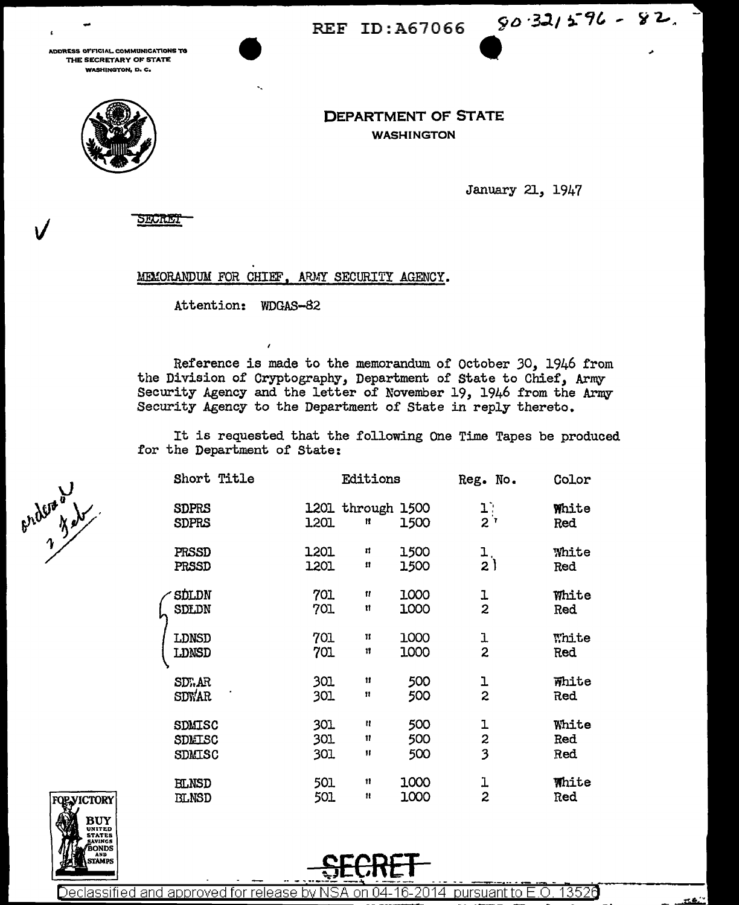REF ID:A67066 80.321596 - 82.

ADDRESS OFFICIAL COMMUNICATIONS TO THE SECRETARY OF STATE **WASHINGTON, D. C.** 



**DEPARTMENT OF STATE WASHINGTON** 

January 21, 1947

MEMORANDUM FOR CHIEF, ARMY SECURITY AGENCY.

Attention: WDGAS-82

Reference is made to the memorandum of October 30. 1946 from the Division of Cryptography, Department of State to Chief, Army Security Agency and the letter of November 19, 1946 from the Army Security Agency to the Department of State in reply thereto.

It is requested that the following One Time Tapes be produced for the Department of State:

|  | Short Title                              |                   | Editions               |                   | Reg. No.                     | Color               |
|--|------------------------------------------|-------------------|------------------------|-------------------|------------------------------|---------------------|
|  | <b>SDPRS</b><br><b>SDPRS</b>             | 1201              | 1201 through 1500<br>Ħ | 1500              | $\mathbf{1}$ :<br>$2^r$      | White<br>Red        |
|  | PRSSD<br>PRSSD                           | 1201<br>1201      | п<br>11                | 1500<br>1500      | 1,<br>2)                     | White<br>Red        |
|  | ∕ SDLDN<br>SDLDN                         | 701<br>701        | Ħ<br>n                 | 1000<br>1000      | ı<br>$\overline{2}$          | White<br>Red        |
|  | LDNSD<br>LDNSD                           | 701<br>701        | П<br>11                | 1000<br>1000      | ı<br>$\overline{2}$          | White<br>Red        |
|  | SD).AR<br>SDWAR                          | 301<br>301        | $\mathbf{H}$<br>11     | 500<br>500        | ı<br>$\overline{\mathbf{c}}$ | White<br>Red        |
|  | <b>SDMISC</b><br>SDMISC<br><b>SDMISC</b> | 301<br>301<br>301 | Ħ<br>11<br>Ħ           | 500<br>500<br>500 | ı<br>2<br>3                  | White<br>Red<br>Red |
|  | <b>BLNSD</b><br><b>BLNSD</b>             | 501<br>501        | Ħ<br>Ħ                 | 1000<br>1000      | l,<br>$\overline{z}$         | <b>White</b><br>Red |